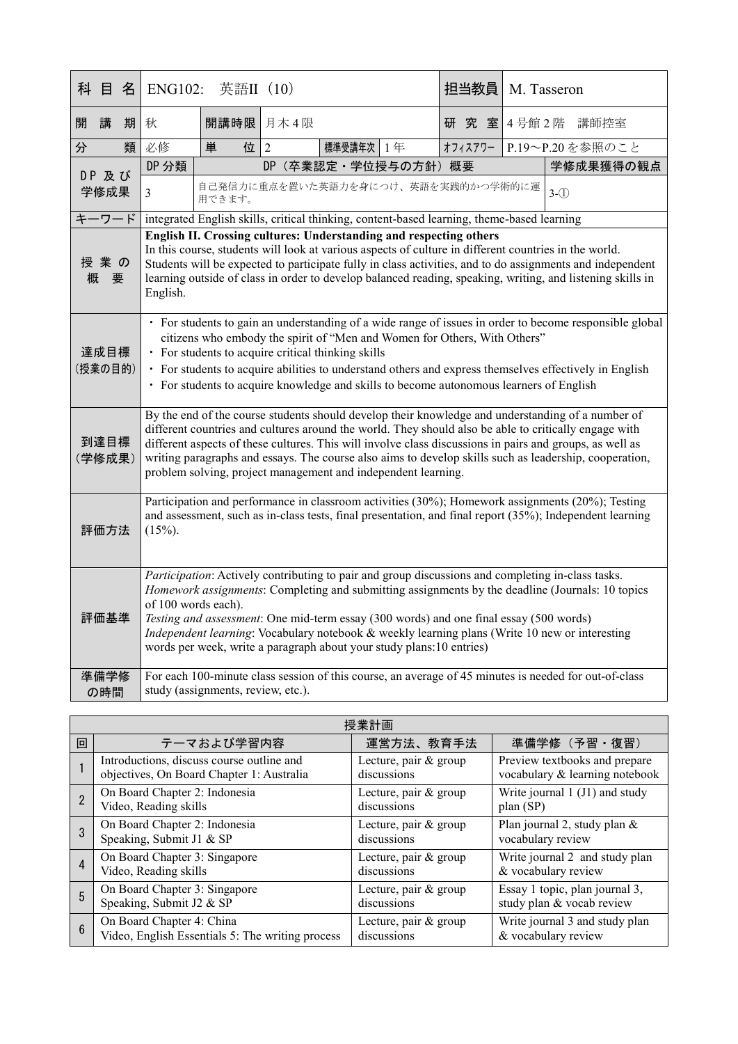| 科                                                                                                                                                                                                                                                                                                                                                                                                                                                                                                                                                                                                                 | 目             | 名 | <b>ENG102:</b>                                                                                                                                                                                                                                                                                                                                                                                                                                                                                    | 英語II (10)                                                                                  |                |           |                      |  | 担当教員    |  |  | M. Tasseron     |
|-------------------------------------------------------------------------------------------------------------------------------------------------------------------------------------------------------------------------------------------------------------------------------------------------------------------------------------------------------------------------------------------------------------------------------------------------------------------------------------------------------------------------------------------------------------------------------------------------------------------|---------------|---|---------------------------------------------------------------------------------------------------------------------------------------------------------------------------------------------------------------------------------------------------------------------------------------------------------------------------------------------------------------------------------------------------------------------------------------------------------------------------------------------------|--------------------------------------------------------------------------------------------|----------------|-----------|----------------------|--|---------|--|--|-----------------|
| 開                                                                                                                                                                                                                                                                                                                                                                                                                                                                                                                                                                                                                 | 講             | 期 | 秋                                                                                                                                                                                                                                                                                                                                                                                                                                                                                                 | 開講時限                                                                                       | 月木4限           |           |                      |  | 研究室     |  |  | 4号館2階 講師控室      |
| 分                                                                                                                                                                                                                                                                                                                                                                                                                                                                                                                                                                                                                 |               | 類 | 必修                                                                                                                                                                                                                                                                                                                                                                                                                                                                                                | 単<br>位                                                                                     | $\mathfrak{D}$ | 標準受講年次 1年 |                      |  | オフィスアワー |  |  | P.19~P.20を参照のこと |
|                                                                                                                                                                                                                                                                                                                                                                                                                                                                                                                                                                                                                   | DP 及び<br>学修成果 |   | DP 分類                                                                                                                                                                                                                                                                                                                                                                                                                                                                                             |                                                                                            |                |           | DP (卒業認定·学位授与の方針) 概要 |  |         |  |  | 学修成果獲得の観点       |
|                                                                                                                                                                                                                                                                                                                                                                                                                                                                                                                                                                                                                   |               |   | $\mathfrak{Z}$                                                                                                                                                                                                                                                                                                                                                                                                                                                                                    | 自己発信力に重点を置いた英語力を身につけ、英語を実践的かつ学術的に運<br>用できます。                                               |                |           |                      |  |         |  |  | $3-(1)$         |
|                                                                                                                                                                                                                                                                                                                                                                                                                                                                                                                                                                                                                   | キーワード         |   |                                                                                                                                                                                                                                                                                                                                                                                                                                                                                                   | integrated English skills, critical thinking, content-based learning, theme-based learning |                |           |                      |  |         |  |  |                 |
| 授業の<br>概<br>要                                                                                                                                                                                                                                                                                                                                                                                                                                                                                                                                                                                                     |               |   | English II. Crossing cultures: Understanding and respecting others<br>In this course, students will look at various aspects of culture in different countries in the world.<br>Students will be expected to participate fully in class activities, and to do assignments and independent<br>learning outside of class in order to develop balanced reading, speaking, writing, and listening skills in<br>English.                                                                                |                                                                                            |                |           |                      |  |         |  |  |                 |
| 達成目標<br>(授業の目的)                                                                                                                                                                                                                                                                                                                                                                                                                                                                                                                                                                                                   |               |   | · For students to gain an understanding of a wide range of issues in order to become responsible global<br>citizens who embody the spirit of "Men and Women for Others, With Others"<br>• For students to acquire critical thinking skills<br>• For students to acquire abilities to understand others and express themselves effectively in English<br>• For students to acquire knowledge and skills to become autonomous learners of English                                                   |                                                                                            |                |           |                      |  |         |  |  |                 |
| 到達目標<br>(学修成果)                                                                                                                                                                                                                                                                                                                                                                                                                                                                                                                                                                                                    |               |   | By the end of the course students should develop their knowledge and understanding of a number of<br>different countries and cultures around the world. They should also be able to critically engage with<br>different aspects of these cultures. This will involve class discussions in pairs and groups, as well as<br>writing paragraphs and essays. The course also aims to develop skills such as leadership, cooperation,<br>problem solving, project management and independent learning. |                                                                                            |                |           |                      |  |         |  |  |                 |
| 評価方法                                                                                                                                                                                                                                                                                                                                                                                                                                                                                                                                                                                                              |               |   | Participation and performance in classroom activities (30%); Homework assignments (20%); Testing<br>and assessment, such as in-class tests, final presentation, and final report (35%); Independent learning<br>$(15%)$ .                                                                                                                                                                                                                                                                         |                                                                                            |                |           |                      |  |         |  |  |                 |
| Participation: Actively contributing to pair and group discussions and completing in-class tasks.<br>Homework assignments: Completing and submitting assignments by the deadline (Journals: 10 topics<br>of 100 words each).<br>評価基準<br>Testing and assessment: One mid-term essay (300 words) and one final essay (500 words)<br>Independent learning: Vocabulary notebook & weekly learning plans (Write 10 new or interesting<br>words per week, write a paragraph about your study plans:10 entries)<br>For each 100-minute class session of this course, an average of 45 minutes is needed for out-of-class |               |   |                                                                                                                                                                                                                                                                                                                                                                                                                                                                                                   |                                                                                            |                |           |                      |  |         |  |  |                 |
|                                                                                                                                                                                                                                                                                                                                                                                                                                                                                                                                                                                                                   | 準備学修<br>の時間   |   |                                                                                                                                                                                                                                                                                                                                                                                                                                                                                                   | study (assignments, review, etc.).                                                         |                |           |                      |  |         |  |  |                 |

| 授業計画 |                                                  |                       |                                |  |  |
|------|--------------------------------------------------|-----------------------|--------------------------------|--|--|
| 回    | テーマおよび学習内容                                       | 運営方法、教育手法             | 準備学修 (予習·復習)                   |  |  |
|      | Introductions, discuss course outline and        | Lecture, pair & group | Preview textbooks and prepare  |  |  |
|      | objectives, On Board Chapter 1: Australia        | discussions           | vocabulary & learning notebook |  |  |
|      | On Board Chapter 2: Indonesia                    | Lecture, pair & group | Write journal 1 (J1) and study |  |  |
|      | Video, Reading skills                            | discussions           | plan (SP)                      |  |  |
|      | On Board Chapter 2: Indonesia                    | Lecture, pair & group | Plan journal 2, study plan &   |  |  |
|      | Speaking, Submit J1 & SP                         | discussions           | vocabulary review              |  |  |
|      | On Board Chapter 3: Singapore                    | Lecture, pair & group | Write journal 2 and study plan |  |  |
|      | Video, Reading skills                            | discussions           | & vocabulary review            |  |  |
| 5    | On Board Chapter 3: Singapore                    | Lecture, pair & group | Essay 1 topic, plan journal 3, |  |  |
|      | Speaking, Submit J2 & SP                         | discussions           | study plan & vocab review      |  |  |
| 6    | On Board Chapter 4: China                        | Lecture, pair & group | Write journal 3 and study plan |  |  |
|      | Video, English Essentials 5: The writing process | discussions           | & vocabulary review            |  |  |